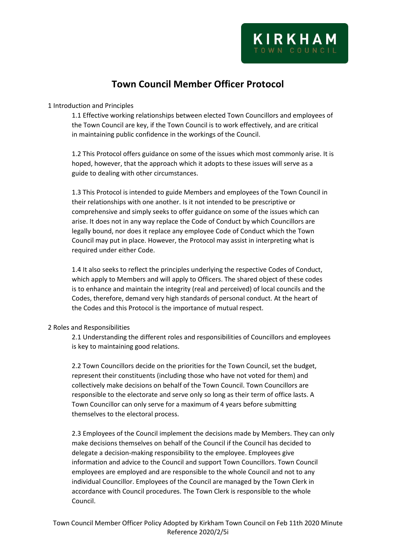# **Town Council Member Officer Protocol**

1 Introduction and Principles

1.1 Effective working relationships between elected Town Councillors and employees of the Town Council are key, if the Town Council is to work effectively, and are critical in maintaining public confidence in the workings of the Council.

1.2 This Protocol offers guidance on some of the issues which most commonly arise. It is hoped, however, that the approach which it adopts to these issues will serve as a guide to dealing with other circumstances.

1.3 This Protocol is intended to guide Members and employees of the Town Council in their relationships with one another. Is it not intended to be prescriptive or comprehensive and simply seeks to offer guidance on some of the issues which can arise. It does not in any way replace the Code of Conduct by which Councillors are legally bound, nor does it replace any employee Code of Conduct which the Town Council may put in place. However, the Protocol may assist in interpreting what is required under either Code.

1.4 It also seeks to reflect the principles underlying the respective Codes of Conduct, which apply to Members and will apply to Officers. The shared object of these codes is to enhance and maintain the integrity (real and perceived) of local councils and the Codes, therefore, demand very high standards of personal conduct. At the heart of the Codes and this Protocol is the importance of mutual respect.

# 2 Roles and Responsibilities

2.1 Understanding the different roles and responsibilities of Councillors and employees is key to maintaining good relations.

2.2 Town Councillors decide on the priorities for the Town Council, set the budget, represent their constituents (including those who have not voted for them) and collectively make decisions on behalf of the Town Council. Town Councillors are responsible to the electorate and serve only so long as their term of office lasts. A Town Councillor can only serve for a maximum of 4 years before submitting themselves to the electoral process.

2.3 Employees of the Council implement the decisions made by Members. They can only make decisions themselves on behalf of the Council if the Council has decided to delegate a decision-making responsibility to the employee. Employees give information and advice to the Council and support Town Councillors. Town Council employees are employed and are responsible to the whole Council and not to any individual Councillor. Employees of the Council are managed by the Town Clerk in accordance with Council procedures. The Town Clerk is responsible to the whole Council.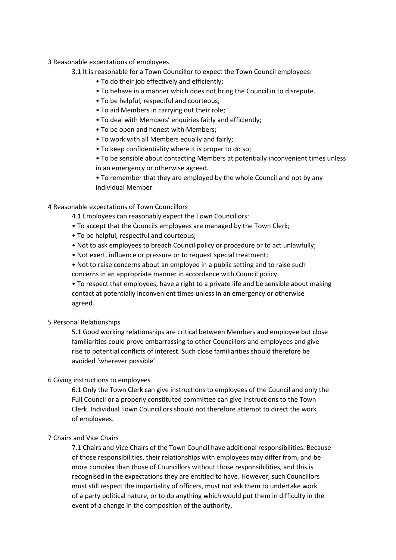## 3 Reasonable expectations of employees

# 3.1 It is reasonable for a Town Councillor to expect the Town Council employees:

- To do their job effectively and efficiently;
- To behave in a manner which does not bring the Council in to disrepute.
- To be helpful, respectful and courteous;
- To aid Members in carrying out their role;
- To deal with Members' enquiries fairly and efficiently;
- To be open and honest with Members;
- To work with all Members equally and fairly;
- To keep confidentiality where it is proper to do so;

• To be sensible about contacting Members at potentially inconvenient times unless in an emergency or otherwise agreed.

• To remember that they are employed by the whole Council and not by any individual Member.

# 4 Reasonable expectations of Town Councillors

- 4.1 Employees can reasonably expect the Town Councillors:
- To accept that the Councils employees are managed by the Town Clerk;
- To be helpful, respectful and courteous;
- Not to ask employees to breach Council policy or procedure or to act unlawfully;
- Not exert, influence or pressure or to request special treatment;
- Not to raise concerns about an employee in a public setting and to raise such concerns in an appropriate manner in accordance with Council policy.

• To respect that employees, have a right to a private life and be sensible about making contact at potentially inconvenient times unless in an emergency or otherwise agreed.

## 5 Personal Relationships

5.1 Good working relationships are critical between Members and employee but close familiarities could prove embarrassing to other Councillors and employees and give rise to potential conflicts of interest. Such close familiarities should therefore be avoided 'wherever possible'.

## 6 Giving instructions to employees

6.1 Only the Town Clerk can give instructions to employees of the Council and only the Full Council or a properly constituted committee can give instructions to the Town Clerk. Individual Town Councillors should not therefore attempt to direct the work of employees.

## 7 Chairs and Vice Chairs

7.1 Chairs and Vice Chairs of the Town Council have additional responsibilities. Because of those responsibilities, their relationships with employees may differ from, and be more complex than those of Councillors without those responsibilities, and this is recognised in the expectations they are entitled to have. However, such Councillors must still respect the impartiality of officers, must not ask them to undertake work of a party political nature, or to do anything which would put them in difficulty in the event of a change in the composition of the authority.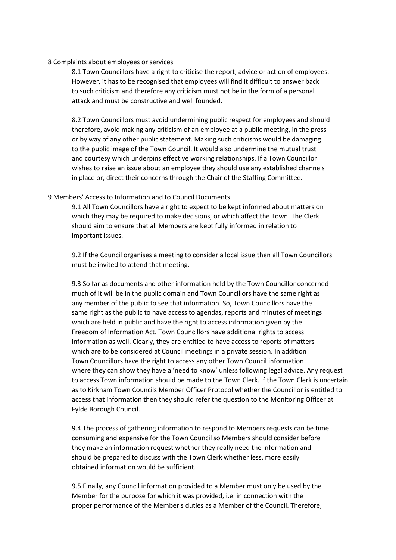#### 8 Complaints about employees or services

8.1 Town Councillors have a right to criticise the report, advice or action of employees. However, it has to be recognised that employees will find it difficult to answer back to such criticism and therefore any criticism must not be in the form of a personal attack and must be constructive and well founded.

8.2 Town Councillors must avoid undermining public respect for employees and should therefore, avoid making any criticism of an employee at a public meeting, in the press or by way of any other public statement. Making such criticisms would be damaging to the public image of the Town Council. It would also undermine the mutual trust and courtesy which underpins effective working relationships. If a Town Councillor wishes to raise an issue about an employee they should use any established channels in place or, direct their concerns through the Chair of the Staffing Committee.

#### 9 Members' Access to Information and to Council Documents

9.1 All Town Councillors have a right to expect to be kept informed about matters on which they may be required to make decisions, or which affect the Town. The Clerk should aim to ensure that all Members are kept fully informed in relation to important issues.

9.2 If the Council organises a meeting to consider a local issue then all Town Councillors must be invited to attend that meeting.

9.3 So far as documents and other information held by the Town Councillor concerned much of it will be in the public domain and Town Councillors have the same right as any member of the public to see that information. So, Town Councillors have the same right as the public to have access to agendas, reports and minutes of meetings which are held in public and have the right to access information given by the Freedom of Information Act. Town Councillors have additional rights to access information as well. Clearly, they are entitled to have access to reports of matters which are to be considered at Council meetings in a private session. In addition Town Councillors have the right to access any other Town Council information where they can show they have a 'need to know' unless following legal advice. Any request to access Town information should be made to the Town Clerk. If the Town Clerk is uncertain as to Kirkham Town Councils Member Officer Protocol whether the Councillor is entitled to access that information then they should refer the question to the Monitoring Officer at Fylde Borough Council.

9.4 The process of gathering information to respond to Members requests can be time consuming and expensive for the Town Council so Members should consider before they make an information request whether they really need the information and should be prepared to discuss with the Town Clerk whether less, more easily obtained information would be sufficient.

9.5 Finally, any Council information provided to a Member must only be used by the Member for the purpose for which it was provided, i.e. in connection with the proper performance of the Member's duties as a Member of the Council. Therefore,